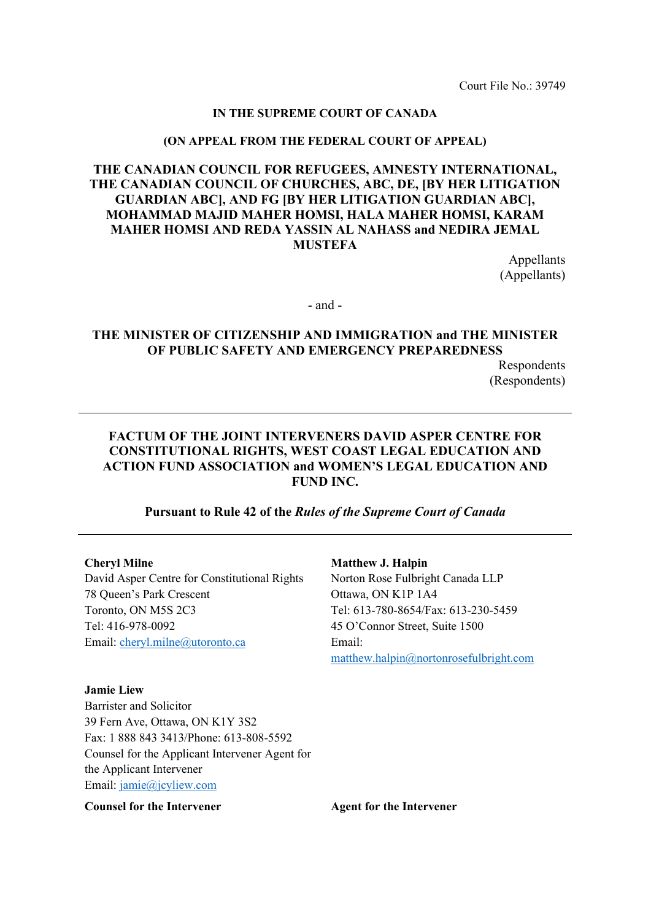Court File No.: 39749

#### **IN THE SUPREME COURT OF CANADA**

#### **(ON APPEAL FROM THE FEDERAL COURT OF APPEAL)**

#### **THE CANADIAN COUNCIL FOR REFUGEES, AMNESTY INTERNATIONAL, THE CANADIAN COUNCIL OF CHURCHES, ABC, DE, [BY HER LITIGATION GUARDIAN ABC], AND FG [BY HER LITIGATION GUARDIAN ABC], MOHAMMAD MAJID MAHER HOMSI, HALA MAHER HOMSI, KARAM MAHER HOMSI AND REDA YASSIN AL NAHASS and NEDIRA JEMAL MUSTEFA**

Appellants (Appellants)

- and -

#### **THE MINISTER OF CITIZENSHIP AND IMMIGRATION and THE MINISTER OF PUBLIC SAFETY AND EMERGENCY PREPAREDNESS**

Respondents (Respondents)

#### **FACTUM OF THE JOINT INTERVENERS DAVID ASPER CENTRE FOR CONSTITUTIONAL RIGHTS, WEST COAST LEGAL EDUCATION AND ACTION FUND ASSOCIATION and WOMEN'S LEGAL EDUCATION AND FUND INC.**

#### **Pursuant to Rule 42 of the** *Rules of the Supreme Court of Canada*

#### **Cheryl Milne**

David Asper Centre for Constitutional Rights 78 Queen's Park Crescent Toronto, ON M5S 2C3 Tel: 416-978-0092 Email: [cheryl.milne@utoronto.ca](mailto:cheryl.milne@utoronto.ca) 

#### **Matthew J. Halpin**

Norton Rose Fulbright Canada LLP Ottawa, ON K1P 1A4 Tel: 613-780-8654/Fax: 613-230-5459 45 O'Connor Street, Suite 1500 Email: [matthew.halpin@nortonrosefulbright.com](mailto:matthew.halpin@nortonrosefulbright.com) 

**Jamie Liew** Barrister and Solicitor 39 Fern Ave, Ottawa, ON K1Y 3S2 Fax: 1 888 843 3413/Phone: 613-808-5592 Counsel for the Applicant Intervener Agent for the Applicant Intervener Email: [jamie@jcyliew.com](mailto:jamie@jcyliew.com) 

**Counsel for the Intervener Agent for the Intervener**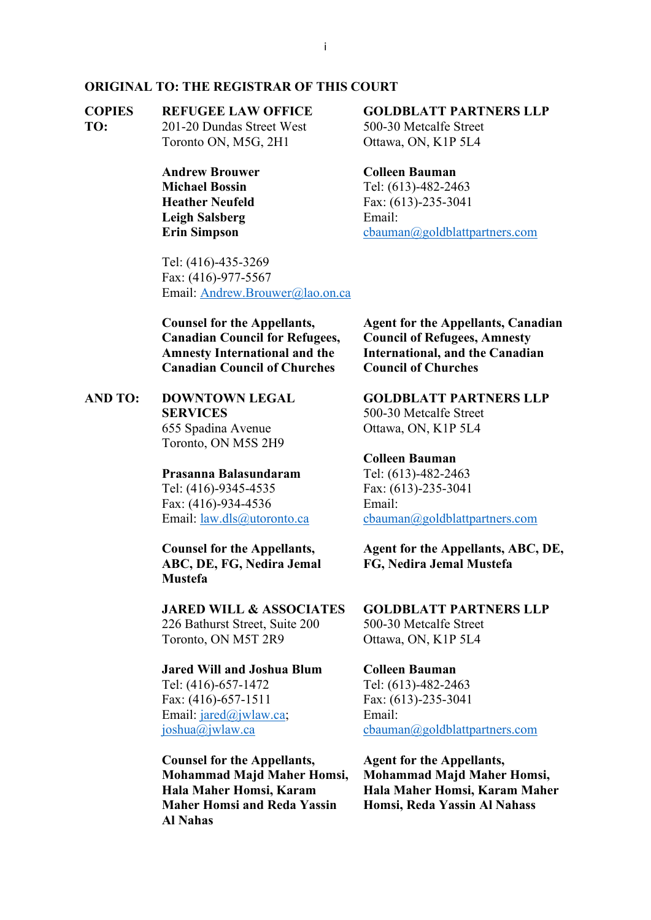#### **ORIGINAL TO: THE REGISTRAR OF THIS COURT**

#### **COPIES REFUGEE LAW OFFICE**

**TO:** 201-20 Dundas Street West Toronto ON, M5G, 2H1

> **Andrew Brouwer Michael Bossin Heather Neufeld Leigh Salsberg Erin Simpson**

Tel: (416)-435-3269 Fax: (416)-977-5567 Email: [Andrew.Brouwer@lao.on.ca](mailto:Andrew.Brouwer@lao.on.ca)

**Counsel for the Appellants, Canadian Council for Refugees, Amnesty International and the Canadian Council of Churches**

**AND TO: DOWNTOWN LEGAL SERVICES** 655 Spadina Avenue Toronto, ON M5S 2H9

> **Prasanna Balasundaram**  Tel: (416)-9345-4535 Fax: (416)-934-4536 Email: [law.dls@utoronto.ca](mailto:law.dls@utoronto.ca)

**Counsel for the Appellants, ABC, DE, FG, Nedira Jemal Mustefa**

**JARED WILL & ASSOCIATES** 226 Bathurst Street, Suite 200 Toronto, ON M5T 2R9

**Jared Will and Joshua Blum**  Tel: (416)-657-1472 Fax: (416)-657-1511 Email: [jared@jwlaw.ca;](mailto:jared@jwlaw.ca) [joshua@jwlaw.ca](mailto:joshua@jwlaw.ca) 

**Counsel for the Appellants, Mohammad Majd Maher Homsi, Hala Maher Homsi, Karam Maher Homsi and Reda Yassin Al Nahas** 

### **GOLDBLATT PARTNERS LLP**

500-30 Metcalfe Street Ottawa, ON, K1P 5L4

#### **Colleen Bauman**

Tel: (613)-482-2463 Fax: (613)-235-3041 Email: [cbauman@goldblattpartners.com](mailto:cbauman@goldblattpartners.com) 

**Agent for the Appellants, Canadian Council of Refugees, Amnesty International, and the Canadian Council of Churches**

**GOLDBLATT PARTNERS LLP** 500-30 Metcalfe Street Ottawa, ON, K1P 5L4

### **Colleen Bauman**

Tel: (613)-482-2463 Fax: (613)-235-3041 Email: [cbauman@goldblattpartners.com](mailto:cbauman@goldblattpartners.com) 

**Agent for the Appellants, ABC, DE, FG, Nedira Jemal Mustefa**

**GOLDBLATT PARTNERS LLP** 500-30 Metcalfe Street Ottawa, ON, K1P 5L4

**Colleen Bauman** Tel: (613)-482-2463 Fax: (613)-235-3041 Email: [cbauman@goldblattpartners.com](mailto:cbauman@goldblattpartners.com) 

**Agent for the Appellants, Mohammad Majd Maher Homsi, Hala Maher Homsi, Karam Maher Homsi, Reda Yassin Al Nahass**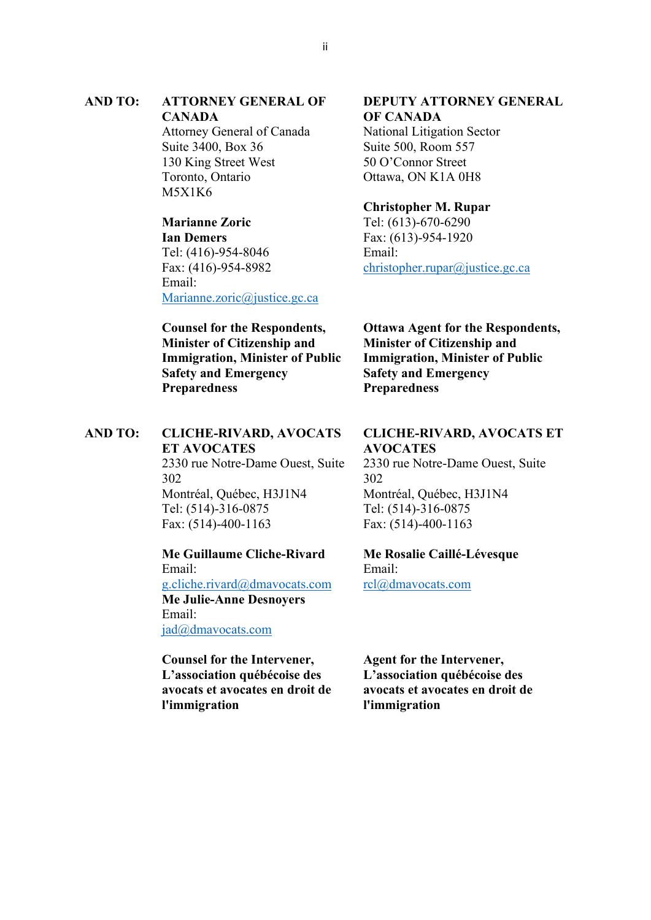### **AND TO: ATTORNEY GENERAL OF CANADA**

Attorney General of Canada Suite 3400, Box 36 130 King Street West Toronto, Ontario M5X1K6

## **Marianne Zoric**

**Ian Demers** Tel: (416)-954-8046 Fax: (416)-954-8982 Email: [Marianne.zoric@justice.gc.ca](mailto:Marianne.zoric@justice.gc.ca) 

#### **Counsel for the Respondents, Minister of Citizenship and Immigration, Minister of Public Safety and Emergency Preparedness**

#### **AND TO: CLICHE-RIVARD, AVOCATS ET AVOCATES** 2330 rue Notre-Dame Ouest, Suite 302 Montréal, Québec, H3J1N4 Tel: (514)-316-0875

Fax: (514)-400-1163

### **Me Guillaume Cliche-Rivard**  Email: [g.cliche.rivard@dmavocats.com](mailto:g.cliche.rivard@dmavocats.com)  **Me Julie-Anne Desnoyers** Email: jad@dmavocats.com

**Counsel for the Intervener, L'association québécoise des avocats et avocates en droit de l'immigration**

### **DEPUTY ATTORNEY GENERAL OF CANADA**

National Litigation Sector Suite 500, Room 557 50 O'Connor Street Ottawa, ON K1A 0H8

### **Christopher M. Rupar**

Tel: (613)-670-6290 Fax: (613)-954-1920 Email: [christopher.rupar@justice.gc.ca](mailto:christopher.rupar@justice.gc.ca)

**Ottawa Agent for the Respondents, Minister of Citizenship and Immigration, Minister of Public Safety and Emergency Preparedness**

#### **CLICHE-RIVARD, AVOCATS ET AVOCATES**

2330 rue Notre-Dame Ouest, Suite 302 Montréal, Québec, H3J1N4 Tel: (514)-316-0875 Fax: (514)-400-1163

#### **Me Rosalie Caillé-Lévesque** Email: [rcl@dmavocats.com](mailto:rcl@dmavocats.com)

**Agent for the Intervener, L'association québécoise des avocats et avocates en droit de l'immigration**

ii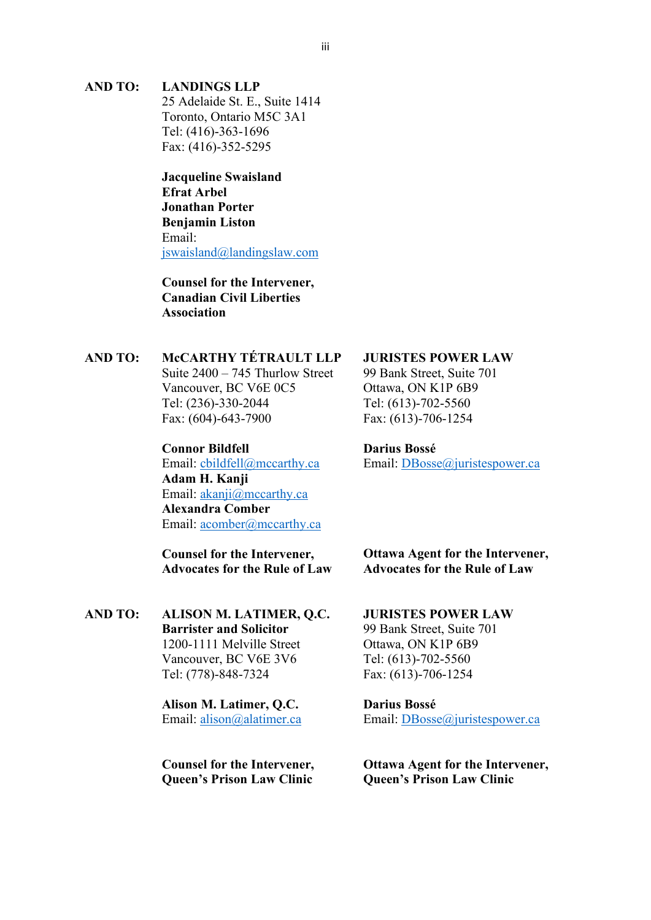#### **AND TO: LANDINGS LLP**

25 Adelaide St. E., Suite 1414 Toronto, Ontario M5C 3A1 Tel: (416)-363-1696 Fax: (416)-352-5295

**Jacqueline Swaisland Efrat Arbel Jonathan Porter Benjamin Liston** Email: [jswaisland@landingslaw.com](mailto:jswaisland@landingslaw.com)

**Counsel for the Intervener, Canadian Civil Liberties Association** 

### **AND TO: McCARTHY TÉTRAULT LLP**

Suite 2400 – 745 Thurlow Street Vancouver, BC V6E 0C5 Tel: (236)-330-2044 Fax: (604)-643-7900

#### **Connor Bildfell**

Email: [cbildfell@mccarthy.ca](mailto:cbildfell@mccarthy.ca) **Adam H. Kanji** Email: [akanji@mccarthy.ca](mailto:akanji@mccarthy.ca)  **Alexandra Comber** Email: [acomber@mccarthy.ca](mailto:acomber@mccarthy.ca) 

**Counsel for the Intervener, Advocates for the Rule of Law**

**AND TO: ALISON M. LATIMER, Q.C. Barrister and Solicitor** 1200-1111 Melville Street Vancouver, BC V6E 3V6 Tel: (778)-848-7324

> **Alison M. Latimer, Q.C.**  Email: [alison@alatimer.ca](mailto:alison@alatimer.ca)

**Counsel for the Intervener, Queen's Prison Law Clinic**

### **JURISTES POWER LAW**

99 Bank Street, Suite 701 Ottawa, ON K1P 6B9 Tel: (613)-702-5560 Fax: (613)-706-1254

#### **Darius Bossé**

Email: [DBosse@juristespower.ca](mailto:DBosse@juristespower.ca)

**Ottawa Agent for the Intervener, Advocates for the Rule of Law**

#### **JURISTES POWER LAW** 99 Bank Street, Suite 701 Ottawa, ON K1P 6B9

Tel: (613)-702-5560 Fax: (613)-706-1254

**Darius Bossé** Email: [DBosse@juristespower.ca](mailto:DBosse@juristespower.ca)

**Ottawa Agent for the Intervener, Queen's Prison Law Clinic**

#### iii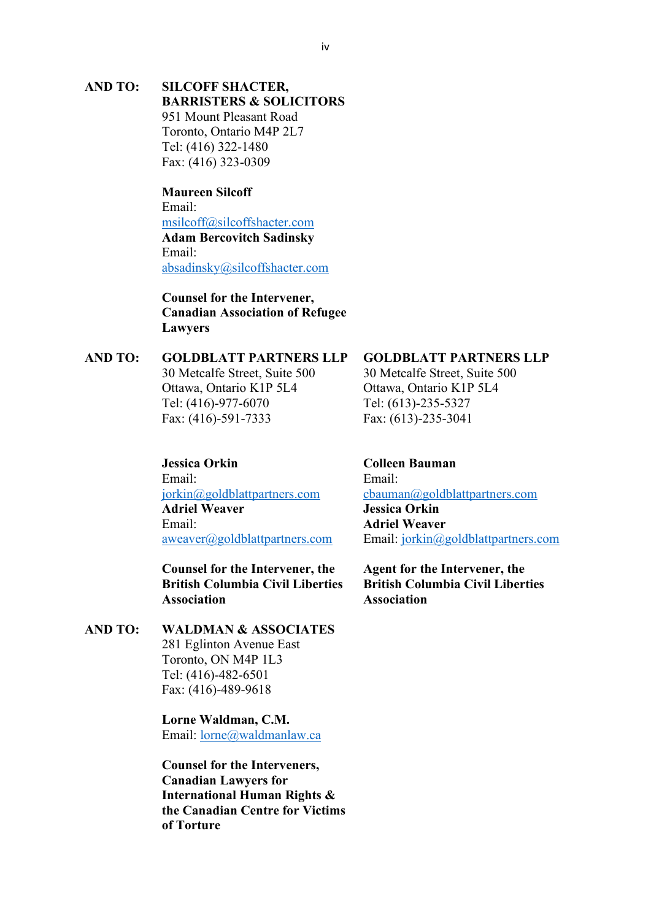#### **AND TO: SILCOFF SHACTER, BARRISTERS & SOLICITORS**

951 Mount Pleasant Road Toronto, Ontario M4P 2L7 Tel: (416) 322-1480 Fax: (416) 323-0309

**Maureen Silcoff** Email: [msilcoff@silcoffshacter.com](mailto:msilcoff@silcoffshacter.com) **Adam Bercovitch Sadinsky** Email: [absadinsky@silcoffshacter.com](mailto:absadinsky@silcoffshacter.com) 

**Counsel for the Intervener, Canadian Association of Refugee Lawyers**

### **AND TO: GOLDBLATT PARTNERS LLP**

30 Metcalfe Street, Suite 500 Ottawa, Ontario K1P 5L4 Tel: (416)-977-6070 Fax: (416)-591-7333

**Jessica Orkin** Email: [jorkin@goldblattpartners.com](mailto:jorkin@goldblattpartners.com) 

**Adriel Weaver** Email: [aweaver@goldblattpartners.com](mailto:aweaver@goldblattpartners.com) 

**Counsel for the Intervener, the British Columbia Civil Liberties Association** 

#### **AND TO: WALDMAN & ASSOCIATES** 281 Eglinton Avenue East Toronto, ON M4P 1L3 Tel: (416)-482-6501 Fax: (416)-489-9618

**Lorne Waldman, C.M.**  Email: [lorne@waldmanlaw.ca](mailto:lorne@waldmanlaw.ca) 

**Counsel for the Interveners, Canadian Lawyers for International Human Rights & the Canadian Centre for Victims of Torture**

#### **GOLDBLATT PARTNERS LLP**

30 Metcalfe Street, Suite 500 Ottawa, Ontario K1P 5L4 Tel: (613)-235-5327 Fax: (613)-235-3041

**Colleen Bauman** Email: [cbauman@goldblattpartners.com](mailto:cbauman@goldblattpartners.com)  **Jessica Orkin Adriel Weaver** Email: [jorkin@goldblattpartners.com](mailto:jorkin@goldblattpartners.com) 

**Agent for the Intervener, the British Columbia Civil Liberties Association**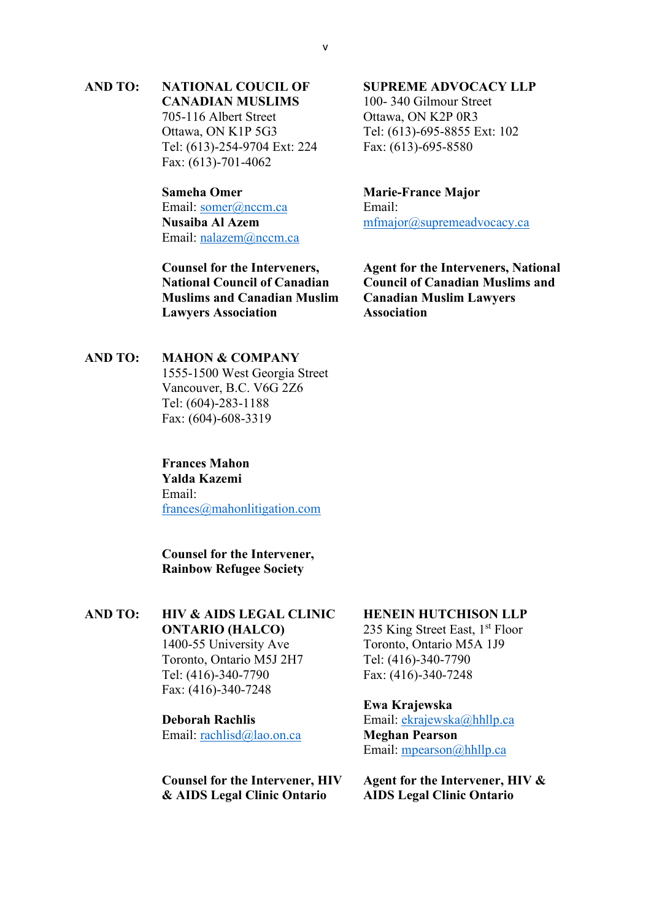### **AND TO: NATIONAL COUCIL OF CANADIAN MUSLIMS**

705-116 Albert Street Ottawa, ON K1P 5G3 Tel: (613)-254-9704 Ext: 224 Fax: (613)-701-4062

### **Sameha Omer** Email: somer@nccm.ca **Nusaiba Al Azem** Email: [nalazem@nccm.ca](mailto:nalazem@nccm.ca)

**Counsel for the Interveners, National Council of Canadian Muslims and Canadian Muslim Lawyers Association** 

#### **AND TO: MAHON & COMPANY**

1555-1500 West Georgia Street Vancouver, B.C. V6G 2Z6 Tel: (604)-283-1188 Fax: (604)-608-3319

### **Frances Mahon Yalda Kazemi**  Email: [frances@mahonlitigation.com](mailto:frances@mahonlitigation.com)

**Counsel for the Intervener, Rainbow Refugee Society**

## **AND TO: HIV & AIDS LEGAL CLINIC**

**ONTARIO (HALCO)** 1400-55 University Ave Toronto, Ontario M5J 2H7 Tel: (416)-340-7790 Fax: (416)-340-7248

#### **Deborah Rachlis**

Email: [rachlisd@lao.on.ca](mailto:rachlisd@lao.on.ca) 

**Counsel for the Intervener, HIV & AIDS Legal Clinic Ontario**

#### **SUPREME ADVOCACY LLP**

100- 340 Gilmour Street Ottawa, ON K2P 0R3 Tel: (613)-695-8855 Ext: 102 Fax: (613)-695-8580

# **Marie-France Major**

Email: [mfmajor@supremeadvocacy.ca](mailto:mfmajor@supremeadvocacy.ca) 

**Agent for the Interveners, National Council of Canadian Muslims and Canadian Muslim Lawyers Association** 

#### **HENEIN HUTCHISON LLP**

235 King Street East,  $1<sup>st</sup>$  Floor Toronto, Ontario M5A 1J9 Tel: (416)-340-7790 Fax: (416)-340-7248

#### **Ewa Krajewska**

Email: [ekrajewska@hhllp.ca](mailto:ekrajewska@hhllp.ca)  **Meghan Pearson** Email: [mpearson@hhllp.ca](mailto:mpearson@hhllp.ca) 

**Agent for the Intervener, HIV & AIDS Legal Clinic Ontario**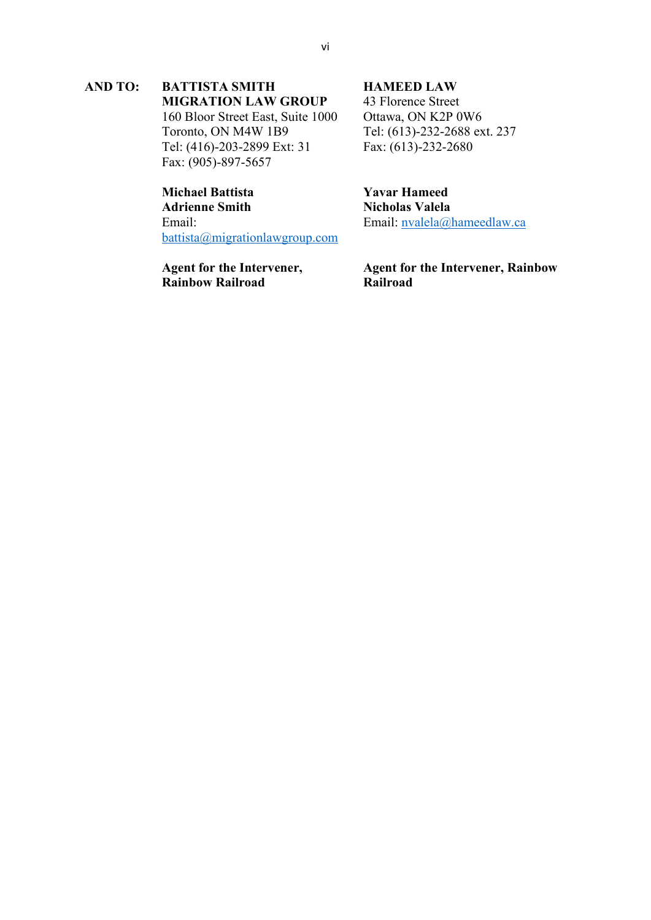#### **AND TO: BATTISTA SMITH MIGRATION LAW GROUP**

160 Bloor Street East, Suite 1000 Toronto, ON M4W 1B9 Tel: (416)-203-2899 Ext: 31 Fax: (905)-897-5657

#### **Michael Battista Adrienne Smith** Email: [battista@migrationlawgroup.com](mailto:battista@migrationlawgroup.com)

**Agent for the Intervener, Rainbow Railroad**

#### **HAMEED LAW**

43 Florence Street Ottawa, ON K2P 0W6 Tel: (613)-232-2688 ext. 237 Fax: (613)-232-2680

**Yavar Hameed Nicholas Valela** Email: [nvalela@hameedlaw.ca](mailto:nvalela@hameedlaw.ca) 

**Agent for the Intervener, Rainbow Railroad**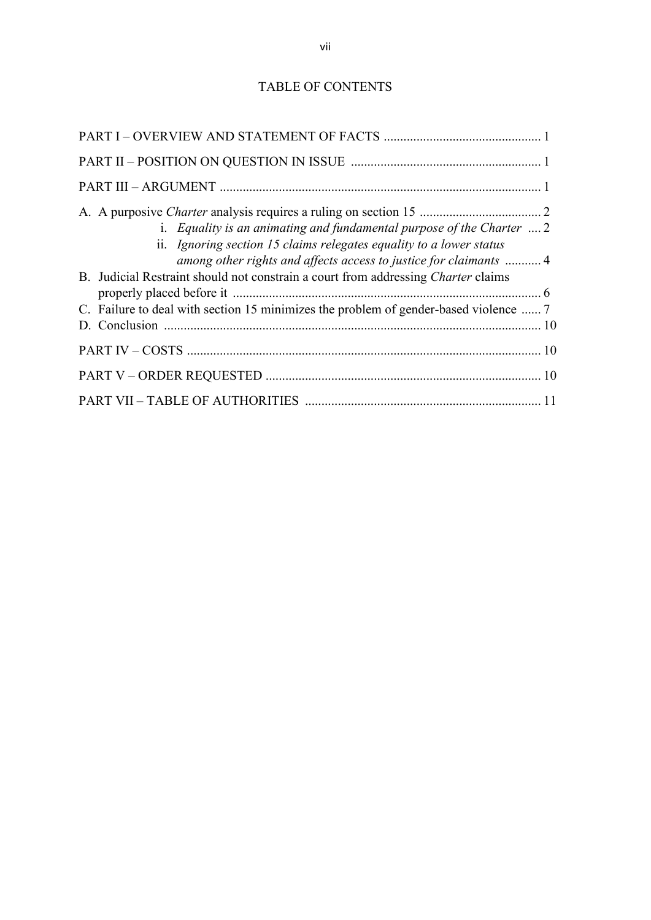## TABLE OF CONTENTS

| i. Equality is an animating and fundamental purpose of the Charter $\dots 2$<br>ii. Ignoring section 15 claims relegates equality to a lower status<br>among other rights and affects access to justice for claimants  4<br>B. Judicial Restraint should not constrain a court from addressing Charter claims<br>C. Failure to deal with section 15 minimizes the problem of gender-based violence  7 |
|-------------------------------------------------------------------------------------------------------------------------------------------------------------------------------------------------------------------------------------------------------------------------------------------------------------------------------------------------------------------------------------------------------|
|                                                                                                                                                                                                                                                                                                                                                                                                       |
|                                                                                                                                                                                                                                                                                                                                                                                                       |
|                                                                                                                                                                                                                                                                                                                                                                                                       |
|                                                                                                                                                                                                                                                                                                                                                                                                       |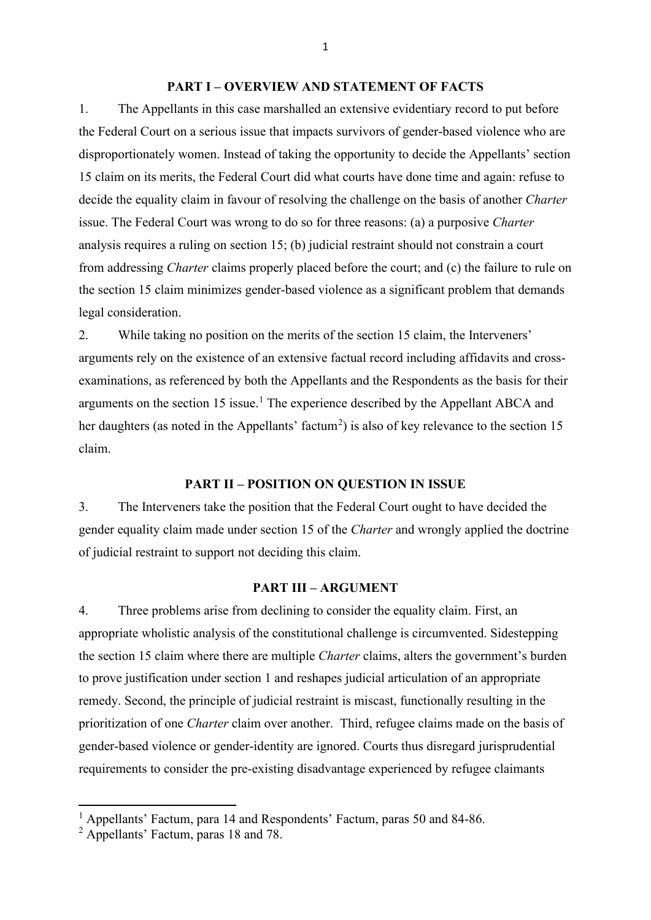#### **PART I – OVERVIEW AND STATEMENT OF FACTS**

1. The Appellants in this case marshalled an extensive evidentiary record to put before the Federal Court on a serious issue that impacts survivors of gender-based violence who are disproportionately women. Instead of taking the opportunity to decide the Appellants' section 15 claim on its merits, the Federal Court did what courts have done time and again: refuse to decide the equality claim in favour of resolving the challenge on the basis of another *Charter* issue. The Federal Court was wrong to do so for three reasons: (a) a purposive *Charter*  analysis requires a ruling on section 15; (b) judicial restraint should not constrain a court from addressing *Charter* claims properly placed before the court; and (c) the failure to rule on the section 15 claim minimizes gender-based violence as a significant problem that demands legal consideration.

2. While taking no position on the merits of the section 15 claim, the Interveners' arguments rely on the existence of an extensive factual record including affidavits and crossexaminations, as referenced by both the Appellants and the Respondents as the basis for their arguments on the section [1](#page-8-0)5 issue.<sup>1</sup> The experience described by the Appellant ABCA and her daughters (as noted in the Appellants' factum<sup>[2](#page-8-1)</sup>) is also of key relevance to the section 15 claim.

#### **PART II – POSITION ON QUESTION IN ISSUE**

3. The Interveners take the position that the Federal Court ought to have decided the gender equality claim made under section 15 of the *Charter* and wrongly applied the doctrine of judicial restraint to support not deciding this claim.

#### **PART III – ARGUMENT**

4. Three problems arise from declining to consider the equality claim. First, an appropriate wholistic analysis of the constitutional challenge is circumvented. Sidestepping the section 15 claim where there are multiple *Charter* claims, alters the government's burden to prove justification under section 1 and reshapes judicial articulation of an appropriate remedy. Second, the principle of judicial restraint is miscast, functionally resulting in the prioritization of one *Charter* claim over another. Third, refugee claims made on the basis of gender-based violence or gender-identity are ignored. Courts thus disregard jurisprudential requirements to consider the pre-existing disadvantage experienced by refugee claimants

1

<span id="page-8-0"></span><sup>&</sup>lt;sup>1</sup> Appellants' Factum, para 14 and Respondents' Factum, paras 50 and 84-86.

<span id="page-8-1"></span><sup>&</sup>lt;sup>2</sup> Appellants' Factum, paras 18 and 78.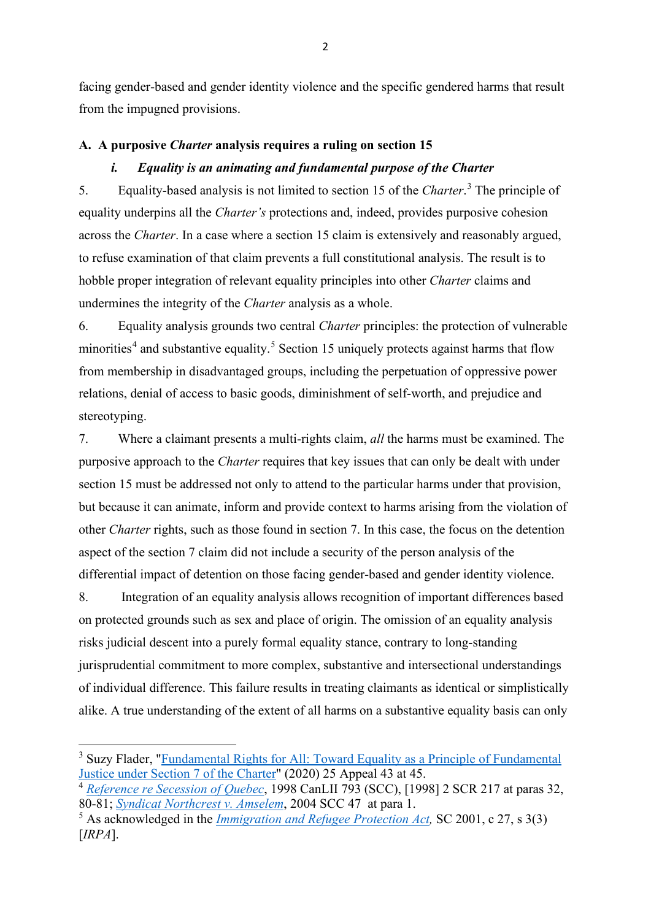facing gender-based and gender identity violence and the specific gendered harms that result from the impugned provisions.

### **A. A purposive** *Charter* **analysis requires a ruling on section 15**

### *i. Equality is an animating and fundamental purpose of the Charter*

5. Equality-based analysis is not limited to section 15 of the *Charter*. [3](#page-9-0) The principle of equality underpins all the *Charter's* protections and, indeed, provides purposive cohesion across the *Charter*. In a case where a section 15 claim is extensively and reasonably argued, to refuse examination of that claim prevents a full constitutional analysis. The result is to hobble proper integration of relevant equality principles into other *Charter* claims and undermines the integrity of the *Charter* analysis as a whole.

6. Equality analysis grounds two central *Charter* principles: the protection of vulnerable minorities<sup>[4](#page-9-1)</sup> and substantive equality.<sup>[5](#page-9-2)</sup> Section 15 uniquely protects against harms that flow from membership in disadvantaged groups, including the perpetuation of oppressive power relations, denial of access to basic goods, diminishment of self-worth, and prejudice and stereotyping.

7. Where a claimant presents a multi-rights claim, *all* the harms must be examined. The purposive approach to the *Charter* requires that key issues that can only be dealt with under section 15 must be addressed not only to attend to the particular harms under that provision, but because it can animate, inform and provide context to harms arising from the violation of other *Charter* rights, such as those found in section 7. In this case, the focus on the detention aspect of the section 7 claim did not include a security of the person analysis of the differential impact of detention on those facing gender-based and gender identity violence.

8. Integration of an equality analysis allows recognition of important differences based on protected grounds such as sex and place of origin. The omission of an equality analysis risks judicial descent into a purely formal equality stance, contrary to long-standing jurisprudential commitment to more complex, substantive and intersectional understandings of individual difference. This failure results in treating claimants as identical or simplistically alike. A true understanding of the extent of all harms on a substantive equality basis can only

<span id="page-9-0"></span><sup>&</sup>lt;sup>3</sup> Suzy Flader, "Fundamental Rights for All: Toward Equality as a Principle of Fundamental [Justice under Section 7 of the Charter"](https://www.canlii.org/en/commentary/doc/2020CanLIIDocs1668#!fragment/undefined/BQCwhgziBcwMYgK4DsDWsBGB7LqC2YATqgJIAm0A5JQJQA0yWALgKYQCKiLhAnlZXQgsiCTtz7VBwwggDKWQkwBCfAEoBRADLqAagEEAcgGF1dJmAzQmWODRpA) (2020) 25 Appeal 43 at 45.

<span id="page-9-1"></span><sup>4</sup> *[Reference re Secession of Quebec](https://www.canlii.org/en/ca/scc/doc/1998/1998canlii793/1998canlii793.html?autocompleteStr=reference%20re%20sece&autocompletePos=1)*, 1998 CanLII 793 (SCC), [1998] 2 SCR 217 at paras 32, 80-81; *[Syndicat Northcrest v. Amselem](https://www.canlii.org/en/ca/scc/doc/2004/2004scc47/2004scc47.html?autocompleteStr=syndicat%20north&autocompletePos=1)*, 2004 SCC 47 at para 1.

<span id="page-9-2"></span><sup>5</sup> As acknowledged in the *[Immigration and Refugee Protection Act,](https://www.canlii.org/en/ca/laws/stat/sc-2001-c-27/191269/sc-2001-c-27.html)* SC 2001, c 27, s 3(3) [*IRPA*].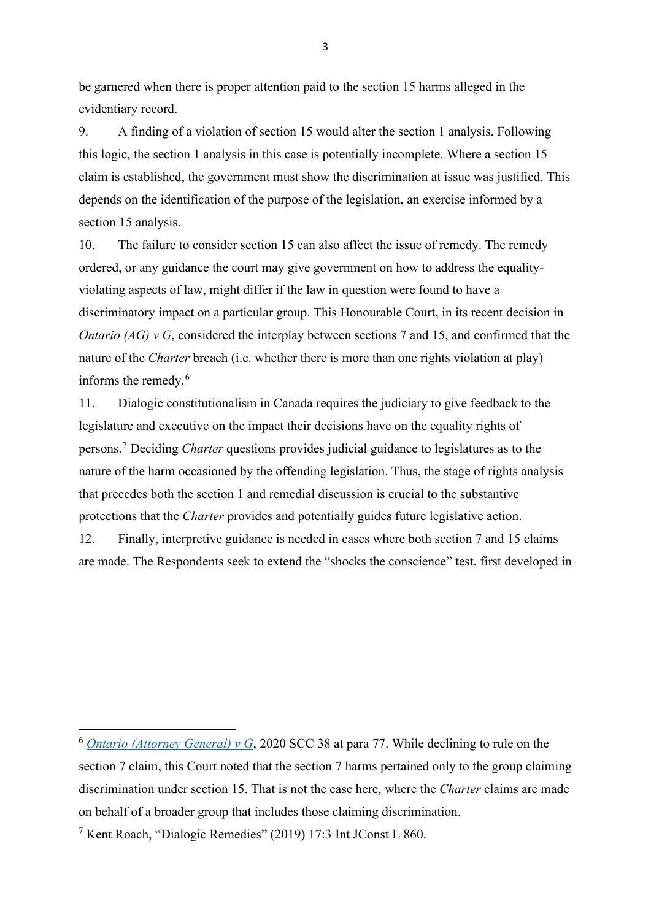be garnered when there is proper attention paid to the section 15 harms alleged in the evidentiary record.

9. A finding of a violation of section 15 would alter the section 1 analysis. Following this logic, the section 1 analysis in this case is potentially incomplete. Where a section 15 claim is established, the government must show the discrimination at issue was justified. This depends on the identification of the purpose of the legislation, an exercise informed by a section 15 analysis.

10. The failure to consider section 15 can also affect the issue of remedy. The remedy ordered, or any guidance the court may give government on how to address the equalityviolating aspects of law, might differ if the law in question were found to have a discriminatory impact on a particular group. This Honourable Court, in its recent decision in *Ontario (AG) v G*, considered the interplay between sections 7 and 15, and confirmed that the nature of the *Charter* breach (i.e. whether there is more than one rights violation at play) informs the remedy.<sup>[6](#page-10-0)</sup>

11. Dialogic constitutionalism in Canada requires the judiciary to give feedback to the legislature and executive on the impact their decisions have on the equality rights of persons.[7](#page-10-1) Deciding *Charter* questions provides judicial guidance to legislatures as to the nature of the harm occasioned by the offending legislation. Thus, the stage of rights analysis that precedes both the section 1 and remedial discussion is crucial to the substantive protections that the *Charter* provides and potentially guides future legislative action.

12. Finally, interpretive guidance is needed in cases where both section 7 and 15 claims are made. The Respondents seek to extend the "shocks the conscience" test, first developed in

<span id="page-10-0"></span><sup>6</sup> *[Ontario \(Attorney General\) v G](https://www.canlii.org/en/ca/scc/doc/2020/2020scc38/2020scc38.html?resultIndex=1)*, 2020 SCC 38 at para 77. While declining to rule on the section 7 claim, this Court noted that the section 7 harms pertained only to the group claiming discrimination under section 15. That is not the case here, where the *Charter* claims are made on behalf of a broader group that includes those claiming discrimination.

<span id="page-10-1"></span><sup>7</sup> Kent Roach, "Dialogic Remedies" (2019) 17:3 Int JConst L 860.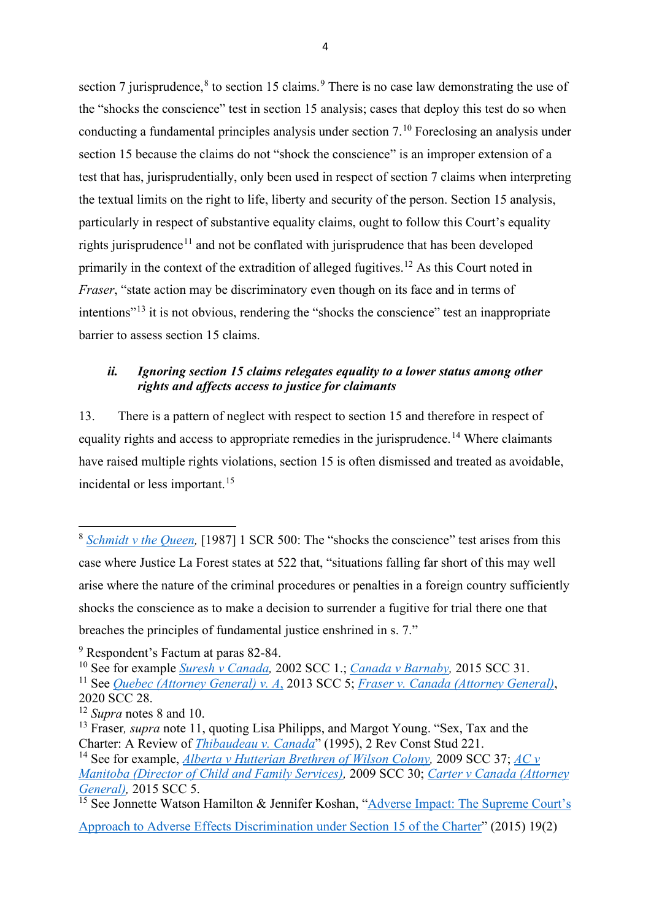section 7 jurisprudence,  $8$  to section 15 claims.  $9$  There is no case law demonstrating the use of the "shocks the conscience" test in section 15 analysis; cases that deploy this test do so when conducting a fundamental principles analysis under section 7.[10](#page-11-2) Foreclosing an analysis under section 15 because the claims do not "shock the conscience" is an improper extension of a test that has, jurisprudentially, only been used in respect of section 7 claims when interpreting the textual limits on the right to life, liberty and security of the person. Section 15 analysis, particularly in respect of substantive equality claims, ought to follow this Court's equality rights jurisprudence<sup>[11](#page-11-3)</sup> and not be conflated with jurisprudence that has been developed primarily in the context of the extradition of alleged fugitives.<sup>12</sup> As this Court noted in *Fraser*, "state action may be discriminatory even though on its face and in terms of intentions"[13](#page-11-5) it is not obvious, rendering the "shocks the conscience" test an inappropriate barrier to assess section 15 claims.

### *ii. Ignoring section 15 claims relegates equality to a lower status among other rights and affects access to justice for claimants*

13. There is a pattern of neglect with respect to section 15 and therefore in respect of equality rights and access to appropriate remedies in the jurisprudence.<sup>[14](#page-11-6)</sup> Where claimants have raised multiple rights violations, section 15 is often dismissed and treated as avoidable, incidental or less important.<sup>15</sup>

<span id="page-11-0"></span><sup>&</sup>lt;sup>8</sup> *Schmidt v the Queen*, [1987] 1 SCR 500: The "shocks the conscience" test arises from this case where Justice La Forest states at 522 that, "situations falling far short of this may well arise where the nature of the criminal procedures or penalties in a foreign country sufficiently shocks the conscience as to make a decision to surrender a fugitive for trial there one that breaches the principles of fundamental justice enshrined in s. 7."

<span id="page-11-1"></span><sup>9</sup> Respondent's Factum at paras 82-84.

<span id="page-11-2"></span><sup>10</sup> See for example *[Suresh v Canada,](https://www.canlii.org/en/ca/scc/doc/2002/2002scc1/2002scc1.html?autocompleteStr=suresh%20&autocompletePos=1)* 2002 SCC 1.; *[Canada v Barnaby,](https://www.canlii.org/en/ca/scc/doc/2015/2015scc31/2015scc31.html?autocompleteStr=canada%20v%20barnaby&autocompletePos=1)* 2015 SCC 31.

<span id="page-11-3"></span><sup>11</sup> See *[Quebec \(Attorney General\) v. A](https://www.canlii.org/en/ca/scc/doc/2013/2013scc5/2013scc5.html?resultIndex=2)*, 2013 SCC 5; *[Fraser v. Canada \(Attorney General\)](https://www.canlii.org/en/ca/scc/doc/2020/2020scc28/2020scc28.html?autocompleteStr=fraser%20v%20canada&autocompletePos=1)*, 2020 SCC 28.

<span id="page-11-4"></span><sup>12</sup> *Supra* notes 8 and 10.

<span id="page-11-5"></span><sup>13</sup> Fraser*, supra* note 11, quoting Lisa Philipps, and Margot Young. ["Sex, Tax and the](https://commons.allard.ubc.ca/cgi/viewcontent.cgi?article=1360&context=fac_pubs)  Charter: A Review of *[Thibaudeau v. Canada](https://commons.allard.ubc.ca/cgi/viewcontent.cgi?article=1360&context=fac_pubs)*" (1995), 2 Rev Const Stud 221.

<span id="page-11-6"></span><sup>&</sup>lt;sup>14</sup> See for example, *Alberta v Hutterian Brethren of Wilson Colony*, 2009 SCC 37; *AC v [Manitoba \(Director of Child and Family Services\),](https://www.canlii.org/en/ca/scc/doc/2009/2009scc30/2009scc30.html?resultIndex=1)* 2009 SCC 30; *[Carter v Canada \(Attorney](https://www.canlii.org/en/ca/scc/doc/2015/2015scc5/2015scc5.html?autocompleteStr=carter%20v%20canada&autocompletePos=1)  General*), 2015 SCC 5.

<span id="page-11-7"></span><sup>&</sup>lt;sup>15</sup> See Jonnette Watson Hamilton & Jennifer Koshan, "Adverse Impact: The Supreme Court's [Approach to Adverse Effects Discrimination under Section 15 of the Charter"](https://www.constitutionalstudies.ca/wp-content/uploads/2019/08/19RevConstStud191.pdf) (2015) 19(2)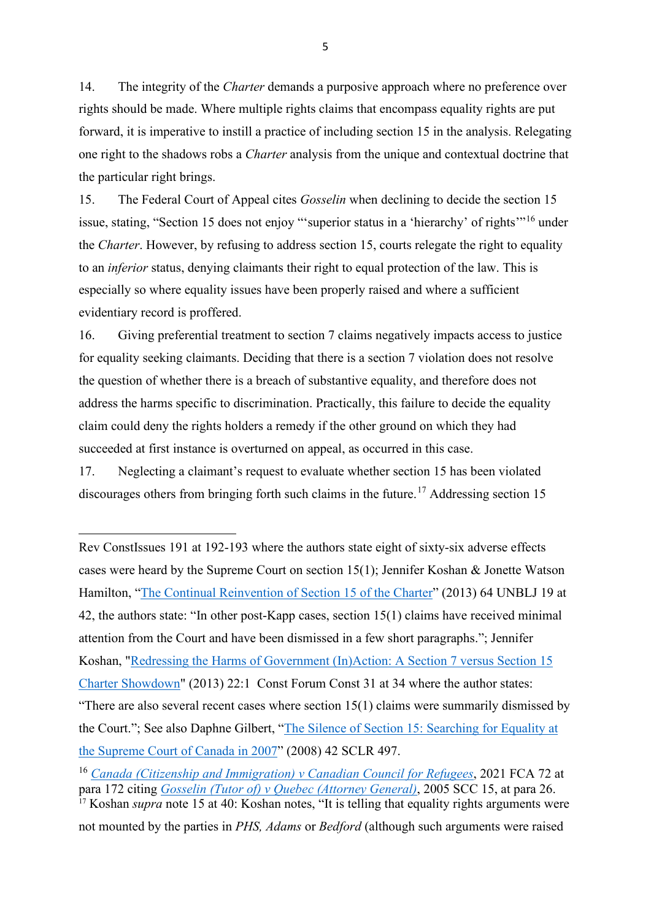14. The integrity of the *Charter* demands a purposive approach where no preference over rights should be made. Where multiple rights claims that encompass equality rights are put forward, it is imperative to instill a practice of including section 15 in the analysis. Relegating one right to the shadows robs a *Charter* analysis from the unique and contextual doctrine that the particular right brings.

15. The Federal Court of Appeal cites *Gosselin* when declining to decide the section 15 issue, stating, "Section 15 does not enjoy "'superior status in a 'hierarchy' of rights'"[16](#page-12-0) under the *Charter*. However, by refusing to address section 15, courts relegate the right to equality to an *inferior* status, denying claimants their right to equal protection of the law. This is especially so where equality issues have been properly raised and where a sufficient evidentiary record is proffered.

16. Giving preferential treatment to section 7 claims negatively impacts access to justice for equality seeking claimants. Deciding that there is a section 7 violation does not resolve the question of whether there is a breach of substantive equality, and therefore does not address the harms specific to discrimination. Practically, this failure to decide the equality claim could deny the rights holders a remedy if the other ground on which they had succeeded at first instance is overturned on appeal, as occurred in this case.

17. Neglecting a claimant's request to evaluate whether section 15 has been violated discourages others from bringing forth such claims in the future.<sup>[17](#page-12-1)</sup> Addressing section 15

Rev ConstIssues 191 at 192-193 where the authors state eight of sixty-six adverse effects cases were heard by the Supreme Court on section 15(1); Jennifer Koshan & Jonette Watson Hamilton, ["The Continual Reinvention of Section 15 of the Charter"](https://journals.lib.unb.ca/index.php/unblj/article/view/29123/1882524305) (2013) 64 UNBLJ 19 at 42, the authors state: "In other post-Kapp cases, section 15(1) claims have received minimal attention from the Court and have been dismissed in a few short paragraphs."; Jennifer Koshan, ["Redressing the Harms of Government \(In\)Action: A Section 7 versus Section 15](https://www.canlii.org/en/commentary/doc/2013CanLIIDocs725#!fragment/undefined/BQCwhgziBcwMYgK4DsDWsBGB7LqC2YATqgJIAm0A5JQJQA0yWALgKYQCKiLhAnlZXQgsiCTtz7VBwwggDKWQkwBCfAEoBRADLqAagEEAcgGF1dJmAzQmWODRpA)  [Charter Showdown"](https://www.canlii.org/en/commentary/doc/2013CanLIIDocs725#!fragment/undefined/BQCwhgziBcwMYgK4DsDWsBGB7LqC2YATqgJIAm0A5JQJQA0yWALgKYQCKiLhAnlZXQgsiCTtz7VBwwggDKWQkwBCfAEoBRADLqAagEEAcgGF1dJmAzQmWODRpA) (2013) 22:1 Const Forum Const 31 at 34 where the author states: "There are also several recent cases where section  $15(1)$  claims were summarily dismissed by the Court."; See also Daphne Gilbert, ["The Silence of Section 15: Searching for Equality at](https://digitalcommons.osgoode.yorku.ca/cgi/viewcontent.cgi?article=1163&context=sclr)  [the Supreme Court of Canada in 2007"](https://digitalcommons.osgoode.yorku.ca/cgi/viewcontent.cgi?article=1163&context=sclr) (2008) 42 SCLR 497.

<span id="page-12-0"></span><sup>16</sup> *[Canada \(Citizenship and Immigration\) v Canadian Council for Refugees](https://www.canlii.org/en/ca/fca/doc/2021/2021fca72/2021fca72.html?autocompleteStr=canadian%20council%20for%20refugees%20fca%20&autocompletePos=2)*, 2021 FCA 72 at para 172 citing *[Gosselin \(Tutor of\) v Quebec \(Attorney General\)](https://www.canlii.org/en/ca/scc/doc/2005/2005scc15/2005scc15.html)*, 2005 SCC 15, at para 26. <sup>17</sup> Koshan *supra* note 15 at 40: Koshan notes, "It is telling that equality rights arguments were

<span id="page-12-1"></span>not mounted by the parties in *PHS, Adams* or *Bedford* (although such arguments were raised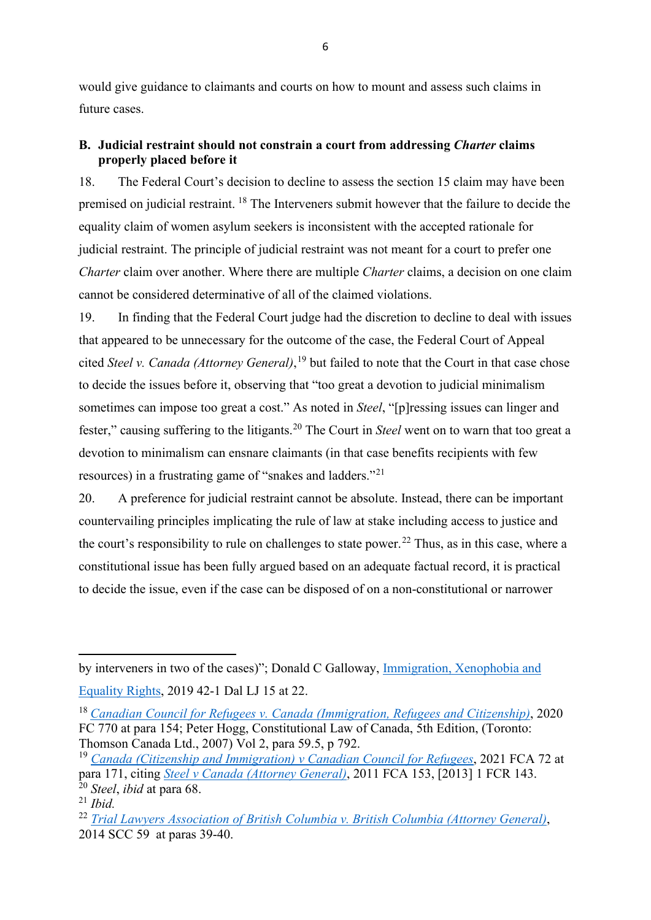would give guidance to claimants and courts on how to mount and assess such claims in future cases.

### **B. Judicial restraint should not constrain a court from addressing** *Charter* **claims properly placed before it**

18. The Federal Court's decision to decline to assess the section 15 claim may have been premised on judicial restraint. [18](#page-13-0) The Interveners submit however that the failure to decide the equality claim of women asylum seekers is inconsistent with the accepted rationale for judicial restraint. The principle of judicial restraint was not meant for a court to prefer one *Charter* claim over another. Where there are multiple *Charter* claims, a decision on one claim cannot be considered determinative of all of the claimed violations.

19. In finding that the Federal Court judge had the discretion to decline to deal with issues that appeared to be unnecessary for the outcome of the case, the Federal Court of Appeal cited *Steel v. Canada (Attorney General)*, [19](#page-13-1) but failed to note that the Court in that case chose to decide the issues before it, observing that "too great a devotion to judicial minimalism sometimes can impose too great a cost." As noted in *Steel*, "[p]ressing issues can linger and fester," causing suffering to the litigants.<sup>[20](#page-13-2)</sup> The Court in *Steel* went on to warn that too great a devotion to minimalism can ensnare claimants (in that case benefits recipients with few resources) in a frustrating game of "snakes and ladders."[21](#page-13-3)

20. A preference for judicial restraint cannot be absolute. Instead, there can be important countervailing principles implicating the rule of law at stake including access to justice and the court's responsibility to rule on challenges to state power.<sup>22</sup> Thus, as in this case, where a constitutional issue has been fully argued based on an adequate factual record, it is practical to decide the issue, even if the case can be disposed of on a non-constitutional or narrower

by interveners in two of the cases)"; Donald C Galloway, [Immigration, Xenophobia and](https://www.canlii.org/en/commentary/doc/2019CanLIIDocs2818#!fragment/undefined/BQCwhgziBcwMYgK4DsDWsBGB7LqC2YATqgJIAm0A5JQJQA0yWALgKYQCKiLhAnlZXQgsiCTtz7VBwwggDKWQkwBCfAEoBRADLqAagEEAcgGF1dJmAzQmWODRpA)  [Equality Rights,](https://www.canlii.org/en/commentary/doc/2019CanLIIDocs2818#!fragment/undefined/BQCwhgziBcwMYgK4DsDWsBGB7LqC2YATqgJIAm0A5JQJQA0yWALgKYQCKiLhAnlZXQgsiCTtz7VBwwggDKWQkwBCfAEoBRADLqAagEEAcgGF1dJmAzQmWODRpA) 2019 42-1 Dal LJ 15 at 22.

<span id="page-13-0"></span><sup>18</sup> *[Canadian Council for Refugees v. Canada \(Immigration, Refugees and Citizenship\)](https://www.canlii.org/en/ca/fct/doc/2020/2020fc770/2020fc770.html)*, 2020 FC 770 at para 154; Peter Hogg, Constitutional Law of Canada, 5th Edition, (Toronto: Thomson Canada Ltd., 2007) Vol 2, para 59.5, p 792.

<span id="page-13-1"></span><sup>19</sup> *[Canada \(Citizenship and Immigration\) v Canadian Council for Refugees](https://www.canlii.org/en/ca/fca/doc/2021/2021fca72/2021fca72.html?autocompleteStr=canadian%20council%20for%20refugees%20fca%20&autocompletePos=2)*, 2021 FCA 72 at para 171, citing *[Steel v Canada \(Attorney General\)](https://www.canlii.org/en/ca/fca/doc/2011/2011fca153/2011fca153.html?autocompleteStr=steel%20v%20attorne&autocompletePos=2)*, 2011 FCA 153, [2013] 1 FCR 143. <sup>20</sup> *Steel*, *ibid* at para 68.

<span id="page-13-3"></span><span id="page-13-2"></span><sup>21</sup> *Ibid.* 

<span id="page-13-4"></span><sup>22</sup> *[Trial Lawyers Association of British Columbia v. British Columbia \(Attorney General\)](https://canlii.ca/t/gds2j)*, 2014 SCC 59 at paras 39-40.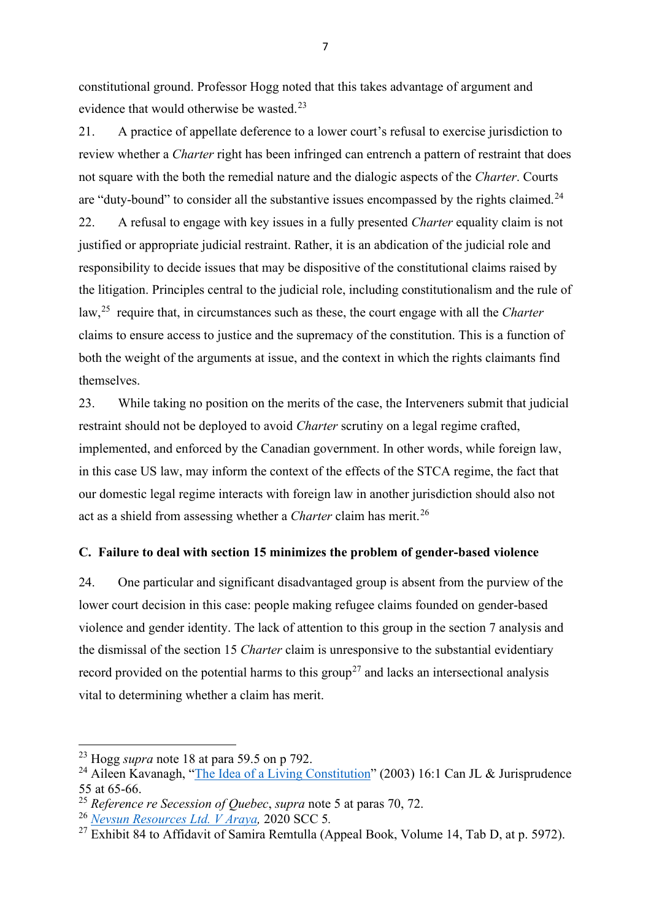constitutional ground. Professor Hogg noted that this takes advantage of argument and evidence that would otherwise be wasted.<sup>23</sup>

21. A practice of appellate deference to a lower court's refusal to exercise jurisdiction to review whether a *Charter* right has been infringed can entrench a pattern of restraint that does not square with the both the remedial nature and the dialogic aspects of the *Charter*. Courts are "duty-bound" to consider all the substantive issues encompassed by the rights claimed.<sup>24</sup> 22. A refusal to engage with key issues in a fully presented *Charter* equality claim is not justified or appropriate judicial restraint. Rather, it is an abdication of the judicial role and responsibility to decide issues that may be dispositive of the constitutional claims raised by the litigation. Principles central to the judicial role, including constitutionalism and the rule of law,[25](#page-14-2) require that, in circumstances such as these, the court engage with all the *Charter*  claims to ensure access to justice and the supremacy of the constitution. This is a function of both the weight of the arguments at issue, and the context in which the rights claimants find themselves.

23. While taking no position on the merits of the case, the Interveners submit that judicial restraint should not be deployed to avoid *Charter* scrutiny on a legal regime crafted, implemented, and enforced by the Canadian government. In other words, while foreign law, in this case US law, may inform the context of the effects of the STCA regime, the fact that our domestic legal regime interacts with foreign law in another jurisdiction should also not act as a shield from assessing whether a *Charter* claim has merit.[26](#page-14-3)

#### **C. Failure to deal with section 15 minimizes the problem of gender-based violence**

24. One particular and significant disadvantaged group is absent from the purview of the lower court decision in this case: people making refugee claims founded on gender-based violence and gender identity. The lack of attention to this group in the section 7 analysis and the dismissal of the section 15 *Charter* claim is unresponsive to the substantial evidentiary record provided on the potential harms to this group<sup>[27](#page-14-4)</sup> and lacks an intersectional analysis vital to determining whether a claim has merit.

7

<span id="page-14-0"></span><sup>23</sup> Hogg *supra* note 18 at para 59.5 on p 792.

<span id="page-14-1"></span><sup>&</sup>lt;sup>24</sup> Aileen Kavanagh, ["The Idea of a Living Constitution"](https://heinonline.org/HOL/LandingPage?handle=hein.journals/caljp16&div=8&id=&page=) (2003) 16:1 Can JL & Jurisprudence 55 at 65-66.

<span id="page-14-2"></span><sup>25</sup> *Reference re Secession of Quebec*, *supra* note 5 at paras 70, 72.

<span id="page-14-3"></span><sup>26</sup> *[Nevsun Resources Ltd. V Araya,](https://decisions.scc-csc.ca/scc-csc/scc-csc/en/item/18169/index.do)* 2020 SCC 5*.*

<span id="page-14-4"></span> $^{27}$  Exhibit 84 to Affidavit of Samira Remtulla (Appeal Book, Volume 14, Tab D, at p. 5972).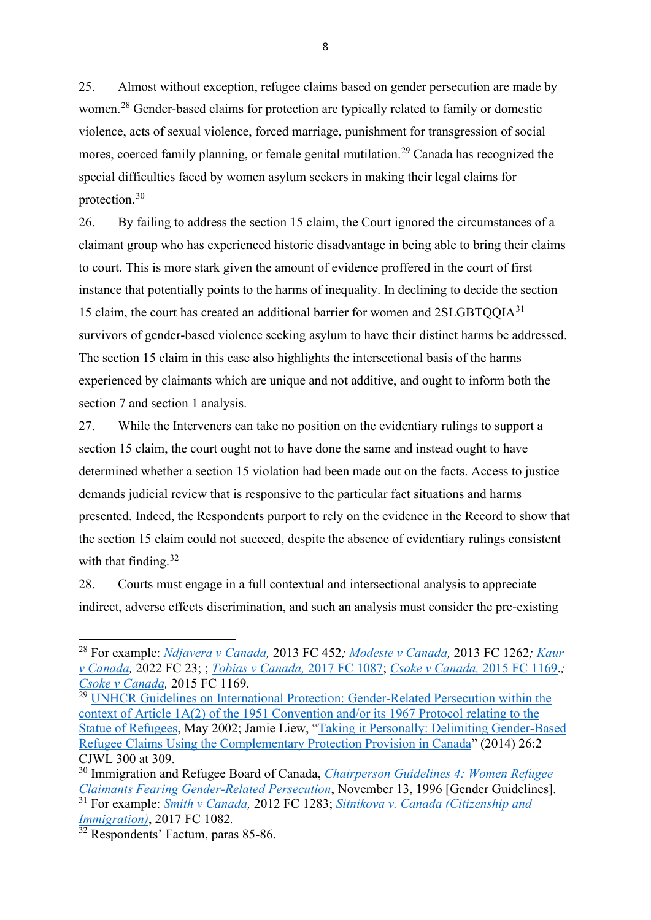25. Almost without exception, refugee claims based on gender persecution are made by women.[28](#page-15-0) Gender-based claims for protection are typically related to family or domestic violence, acts of sexual violence, forced marriage, punishment for transgression of social mores, coerced family planning, or female genital mutilation.<sup>[29](#page-15-1)</sup> Canada has recognized the special difficulties faced by women asylum seekers in making their legal claims for protection.[30](#page-15-2)

26. By failing to address the section 15 claim, the Court ignored the circumstances of a claimant group who has experienced historic disadvantage in being able to bring their claims to court. This is more stark given the amount of evidence proffered in the court of first instance that potentially points to the harms of inequality. In declining to decide the section 15 claim, the court has created an additional barrier for women and 2SLGBTQQIA<sup>[31](#page-15-3)</sup> survivors of gender-based violence seeking asylum to have their distinct harms be addressed. The section 15 claim in this case also highlights the intersectional basis of the harms experienced by claimants which are unique and not additive, and ought to inform both the section 7 and section 1 analysis.

27. While the Interveners can take no position on the evidentiary rulings to support a section 15 claim, the court ought not to have done the same and instead ought to have determined whether a section 15 violation had been made out on the facts. Access to justice demands judicial review that is responsive to the particular fact situations and harms presented. Indeed, the Respondents purport to rely on the evidence in the Record to show that the section 15 claim could not succeed, despite the absence of evidentiary rulings consistent with that finding.  $32$ 

28. Courts must engage in a full contextual and intersectional analysis to appreciate indirect, adverse effects discrimination, and such an analysis must consider the pre-existing

8

<span id="page-15-0"></span><sup>28</sup> For example: *[Ndjavera v Canada,](https://decisions.fct-cf.gc.ca/fc-cf/decisions/en/item/62143/index.do?q=%22gender%22+%2Fp+refugee+NOT+dismissed)* 2013 FC 452*; [Modeste v Canada,](https://decisions.fct-cf.gc.ca/fc-cf/decisions/en/item/65439/index.do?q=%22gender%22+%2Fp+refugee+NOT+dismissed)* 2013 FC 1262*; [Kaur](https://decisions.fct-cf.gc.ca/fc-cf/decisions/en/item/519612/index.do?q=%22gender%22+%2Fp+refugee+NOT+dismissed)  [v Canada,](https://decisions.fct-cf.gc.ca/fc-cf/decisions/en/item/519612/index.do?q=%22gender%22+%2Fp+refugee+NOT+dismissed)* 2022 FC 23; ; *[Tobias v Canada,](https://decisions.fct-cf.gc.ca/fc-cf/decisions/en/item/301818/index.do?q=%22gender%22+%2Fp+refugee+NOT+dismissed)* 2017 FC 1087; *[Csoke v Canada,](https://decisions.fct-cf.gc.ca/fc-cf/decisions/en/item/120627/index.do?q=%22gender%22+%2Fp+refugee+NOT+dismissed)* 2015 FC 1169.*; [Csoke v Canada,](https://decisions.fct-cf.gc.ca/fc-cf/decisions/en/item/120627/index.do?q=%22gender%22+%2Fp+refugee+NOT+dismissed)* 2015 FC 1169*.*

<span id="page-15-1"></span><sup>&</sup>lt;sup>29</sup> UNHCR Guidelines on International Protection: Gender-Related Persecution within the [context of Article 1A\(2\) of the 1951 Convention and/or its 1967 Protocol relating to the](https://www.unhcr.org/publications/legal/3d58ddef4/guidelines-international-protection-1-gender-related-persecution-context.html)  [Statue of Refugees,](https://www.unhcr.org/publications/legal/3d58ddef4/guidelines-international-protection-1-gender-related-persecution-context.html) May 2002; Jamie Liew, ["Taking it Personally: Delimiting Gender-Based](https://www.utpjournals.press/doi/abs/10.3138/cjwl.26.2.05)  [Refugee Claims Using the Complementary Protection Provision in Canada"](https://www.utpjournals.press/doi/abs/10.3138/cjwl.26.2.05) (2014) 26:2 CJWL 300 at 309.

<span id="page-15-3"></span><span id="page-15-2"></span><sup>30</sup> Immigration and Refugee Board of Canada, *[Chairperson Guidelines 4: Women Refugee](https://irb.gc.ca/en/legal-policy/policies/Pages/GuideDir04.aspx)  [Claimants Fearing Gender-Related Persecution](https://irb.gc.ca/en/legal-policy/policies/Pages/GuideDir04.aspx)*, November 13, 1996 [Gender Guidelines]. <sup>31</sup> For example: *[Smith v Canada,](https://decisions.fct-cf.gc.ca/fc-cf/decisions/en/item/61524/index.do)* 2012 FC 1283; *[Sitnikova v. Canada \(Citizenship and](https://www.canlii.org/en/ca/fct/doc/2017/2017fc1082/2017fc1082.html?autocompleteStr=2017%20FC%201082&autocompletePos=1)  [Immigration\)](https://www.canlii.org/en/ca/fct/doc/2017/2017fc1082/2017fc1082.html?autocompleteStr=2017%20FC%201082&autocompletePos=1)*, 2017 FC 1082*.*

<span id="page-15-4"></span><sup>&</sup>lt;sup>32</sup> Respondents' Factum, paras 85-86.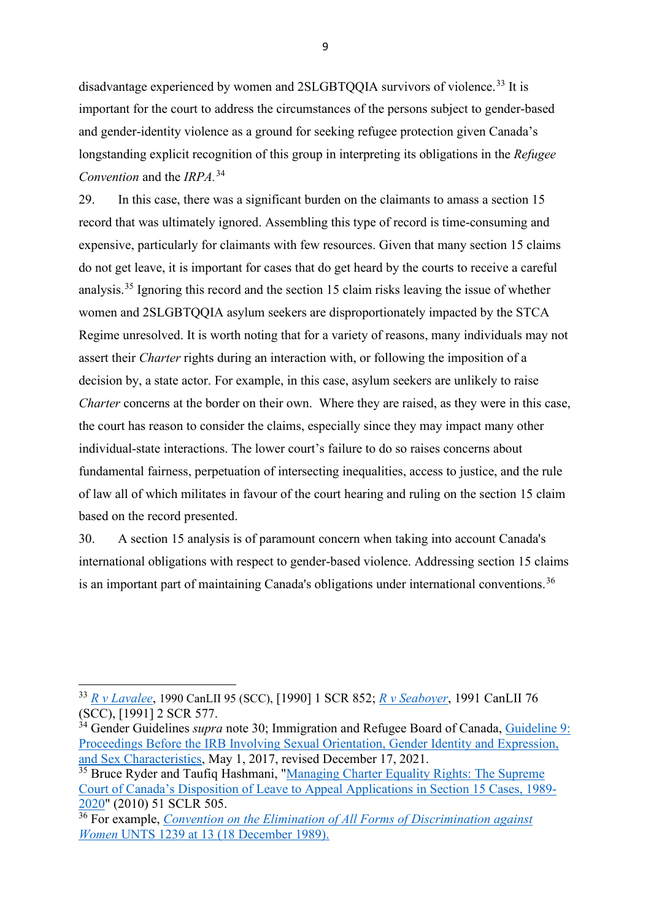disadvantage experienced by women and 2SLGBTQQIA survivors of violence.<sup>[33](#page-16-0)</sup> It is important for the court to address the circumstances of the persons subject to gender-based and gender-identity violence as a ground for seeking refugee protection given Canada's longstanding explicit recognition of this group in interpreting its obligations in the *Refugee Convention* and the *IRPA.*[34](#page-16-1) 

29. In this case, there was a significant burden on the claimants to amass a section 15 record that was ultimately ignored. Assembling this type of record is time-consuming and expensive, particularly for claimants with few resources. Given that many section 15 claims do not get leave, it is important for cases that do get heard by the courts to receive a careful analysis.[35](#page-16-2) Ignoring this record and the section 15 claim risks leaving the issue of whether women and 2SLGBTQQIA asylum seekers are disproportionately impacted by the STCA Regime unresolved. It is worth noting that for a variety of reasons, many individuals may not assert their *Charter* rights during an interaction with, or following the imposition of a decision by, a state actor. For example, in this case, asylum seekers are unlikely to raise *Charter* concerns at the border on their own. Where they are raised, as they were in this case, the court has reason to consider the claims, especially since they may impact many other individual-state interactions. The lower court's failure to do so raises concerns about fundamental fairness, perpetuation of intersecting inequalities, access to justice, and the rule of law all of which militates in favour of the court hearing and ruling on the section 15 claim based on the record presented.

30. A section 15 analysis is of paramount concern when taking into account Canada's international obligations with respect to gender-based violence. Addressing section 15 claims is an important part of maintaining Canada's obligations under international conventions.<sup>[36](#page-16-3)</sup>

<span id="page-16-0"></span><sup>33</sup> *[R v Lavalee](https://www.canlii.org/en/ca/scc/doc/1990/1990canlii95/1990canlii95.html?autocompleteStr=laval&autocompletePos=2)*, 1990 CanLII 95 (SCC), [1990] 1 SCR 852; *[R v Seaboyer](https://www.canlii.org/en/ca/scc/doc/1991/1991canlii76/1991canlii76.html?autocompleteStr=seaboyer&autocompletePos=1)*, 1991 CanLII 76 (SCC), [1991] 2 SCR 577.

<span id="page-16-1"></span><sup>&</sup>lt;sup>34</sup> Gender Guidelines *supra* note 30; Immigration and Refugee Board of Canada, Guideline 9: [Proceedings Before the IRB Involving Sexual Orientation, Gender Identity and Expression,](https://irb.gc.ca/en/legal-policy/policies/Pages/GuideDir09.aspx)  [and Sex Characteristics,](https://irb.gc.ca/en/legal-policy/policies/Pages/GuideDir09.aspx) May 1, 2017, revised December 17, 2021.

<span id="page-16-2"></span><sup>&</sup>lt;sup>35</sup> Bruce Ryder and Taufiq Hashmani, "Managing Charter Equality Rights: The Supreme [Court of Canada's Disposition of Leave to Appeal Applications in Section 15 Cases, 1989-](https://digitalcommons.osgoode.yorku.ca/cgi/viewcontent.cgi?article=1108&context=clpe) [2020"](https://digitalcommons.osgoode.yorku.ca/cgi/viewcontent.cgi?article=1108&context=clpe) (2010) 51 SCLR 505. 36 For example, *[Convention on the Elimination of All Forms of Discrimination against](https://www.ohchr.org/en/instruments-mechanisms/instruments/convention-elimination-all-forms-discrimination-against-women)* 

<span id="page-16-3"></span>*Women* [UNTS 1239 at 13 \(18 December 1989\).](https://www.ohchr.org/en/instruments-mechanisms/instruments/convention-elimination-all-forms-discrimination-against-women)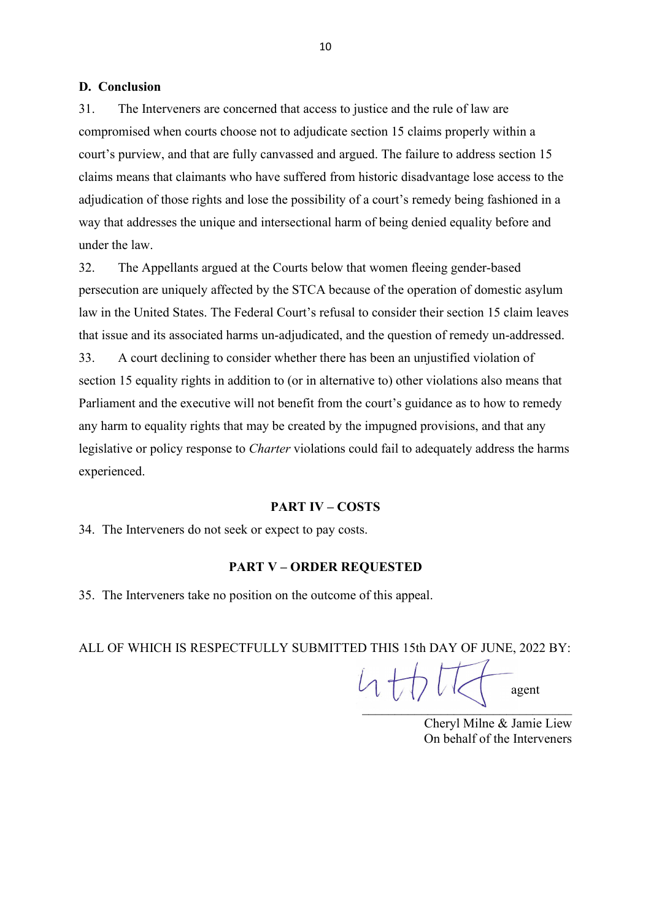#### **D. Conclusion**

31. The Interveners are concerned that access to justice and the rule of law are compromised when courts choose not to adjudicate section 15 claims properly within a court's purview, and that are fully canvassed and argued. The failure to address section 15 claims means that claimants who have suffered from historic disadvantage lose access to the adjudication of those rights and lose the possibility of a court's remedy being fashioned in a way that addresses the unique and intersectional harm of being denied equality before and under the law.

32. The Appellants argued at the Courts below that women fleeing gender-based persecution are uniquely affected by the STCA because of the operation of domestic asylum law in the United States. The Federal Court's refusal to consider their section 15 claim leaves that issue and its associated harms un-adjudicated, and the question of remedy un-addressed. 33. A court declining to consider whether there has been an unjustified violation of section 15 equality rights in addition to (or in alternative to) other violations also means that Parliament and the executive will not benefit from the court's guidance as to how to remedy any harm to equality rights that may be created by the impugned provisions, and that any legislative or policy response to *Charter* violations could fail to adequately address the harms experienced.

#### **PART IV – COSTS**

34. The Interveners do not seek or expect to pay costs.

#### **PART V – ORDER REQUESTED**

35. The Interveners take no position on the outcome of this appeal.

ALL OF WHICH IS RESPECTFULLY SUBMITTED THIS 15th DAY OF JUNE, 2022 BY:

 $\mathcal{A}$  and  $\mathcal{A}$  are the set of  $\mathcal{A}$ agent

Cheryl Milne & Jamie Liew On behalf of the Interveners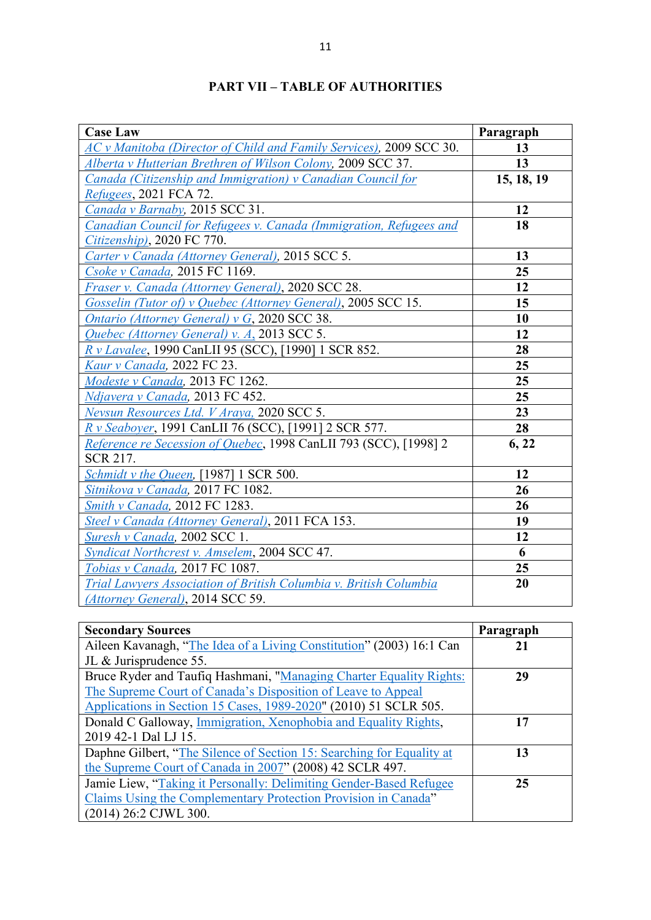| <b>Case Law</b>                                                     | Paragraph  |
|---------------------------------------------------------------------|------------|
| AC v Manitoba (Director of Child and Family Services), 2009 SCC 30. | 13         |
| Alberta v Hutterian Brethren of Wilson Colony, 2009 SCC 37.         | 13         |
| Canada (Citizenship and Immigration) v Canadian Council for         | 15, 18, 19 |
| <i>Refugees</i> , 2021 FCA 72.                                      |            |
| Canada v Barnaby, 2015 SCC 31.                                      | 12         |
| Canadian Council for Refugees v. Canada (Immigration, Refugees and  | 18         |
| Citizenship), 2020 FC 770.                                          |            |
| Carter v Canada (Attorney General), 2015 SCC 5.                     | 13         |
| Csoke v Canada, 2015 FC 1169.                                       | 25         |
| Fraser v. Canada (Attorney General), 2020 SCC 28.                   | 12         |
| Gosselin (Tutor of) v Quebec (Attorney General), 2005 SCC 15.       | 15         |
| Ontario (Attorney General) $v$ G, 2020 SCC 38.                      | 10         |
| Quebec (Attorney General) v. A, 2013 SCC 5.                         | 12         |
| R v Lavalee, 1990 CanLII 95 (SCC), [1990] 1 SCR 852.                | 28         |
| Kaur v Canada, 2022 FC 23.                                          | 25         |
| Modeste v Canada, 2013 FC 1262.                                     | 25         |
| Ndjavera v Canada, 2013 FC 452.                                     | 25         |
| Nevsun Resources Ltd. V Araya, 2020 SCC 5.                          | 23         |
| R v Seaboyer, 1991 CanLII 76 (SCC), [1991] 2 SCR 577.               | 28         |
| Reference re Secession of Quebec, 1998 CanLII 793 (SCC), [1998] 2   | 6, 22      |
| SCR 217.                                                            |            |
| Schmidt v the Queen, [1987] 1 SCR 500.                              | 12         |
| Sitnikova v Canada, 2017 FC 1082.                                   | 26         |
| Smith v Canada, 2012 FC 1283.                                       | 26         |
| Steel v Canada (Attorney General), 2011 FCA 153.                    | 19         |
| <b>Suresh v Canada, 2002 SCC 1.</b>                                 | 12         |
| Syndicat Northcrest v. Amselem, 2004 SCC 47.                        | 6          |
| <b>Tobias v Canada</b> , 2017 FC 1087.                              | 25         |
| Trial Lawyers Association of British Columbia v. British Columbia   | 20         |
| (Attorney General), 2014 SCC 59.                                    |            |

## **PART VII – TABLE OF AUTHORITIES**

| <b>Secondary Sources</b>                                              | Paragraph |
|-----------------------------------------------------------------------|-----------|
| Aileen Kavanagh, "The Idea of a Living Constitution" (2003) 16:1 Can  | 21        |
| JL & Jurisprudence 55.                                                |           |
| Bruce Ryder and Taufiq Hashmani, "Managing Charter Equality Rights:   | 29        |
| The Supreme Court of Canada's Disposition of Leave to Appeal          |           |
| Applications in Section 15 Cases, 1989-2020" (2010) 51 SCLR 505.      |           |
| Donald C Galloway, Immigration, Xenophobia and Equality Rights,       | 17        |
| 2019 42-1 Dal LJ 15.                                                  |           |
| Daphne Gilbert, "The Silence of Section 15: Searching for Equality at | 13        |
| the Supreme Court of Canada in 2007" (2008) 42 SCLR 497.              |           |
| Jamie Liew, "Taking it Personally: Delimiting Gender-Based Refugee    | 25        |
| Claims Using the Complementary Protection Provision in Canada"        |           |
| (2014) 26:2 CJWL 300.                                                 |           |